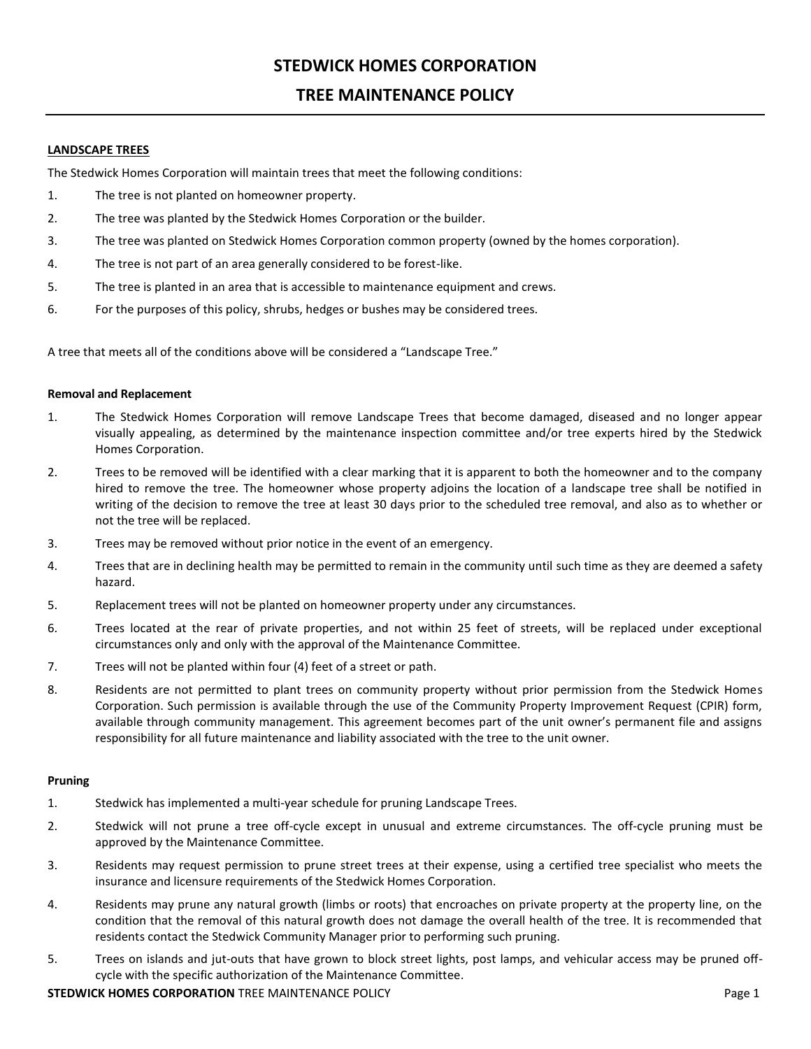# **STEDWICK HOMES CORPORATION**

# **TREE MAINTENANCE POLICY**

# **LANDSCAPE TREES**

The Stedwick Homes Corporation will maintain trees that meet the following conditions:

- 1. The tree is not planted on homeowner property.
- 2. The tree was planted by the Stedwick Homes Corporation or the builder.
- 3. The tree was planted on Stedwick Homes Corporation common property (owned by the homes corporation).
- 4. The tree is not part of an area generally considered to be forest-like.
- 5. The tree is planted in an area that is accessible to maintenance equipment and crews.
- 6. For the purposes of this policy, shrubs, hedges or bushes may be considered trees.

A tree that meets all of the conditions above will be considered a "Landscape Tree."

### **Removal and Replacement**

- 1. The Stedwick Homes Corporation will remove Landscape Trees that become damaged, diseased and no longer appear visually appealing, as determined by the maintenance inspection committee and/or tree experts hired by the Stedwick Homes Corporation.
- 2. Trees to be removed will be identified with a clear marking that it is apparent to both the homeowner and to the company hired to remove the tree. The homeowner whose property adjoins the location of a landscape tree shall be notified in writing of the decision to remove the tree at least 30 days prior to the scheduled tree removal, and also as to whether or not the tree will be replaced.
- 3. Trees may be removed without prior notice in the event of an emergency.
- 4. Trees that are in declining health may be permitted to remain in the community until such time as they are deemed a safety hazard.
- 5. Replacement trees will not be planted on homeowner property under any circumstances.
- 6. Trees located at the rear of private properties, and not within 25 feet of streets, will be replaced under exceptional circumstances only and only with the approval of the Maintenance Committee.
- 7. Trees will not be planted within four (4) feet of a street or path.
- 8. Residents are not permitted to plant trees on community property without prior permission from the Stedwick Homes Corporation. Such permission is available through the use of the Community Property Improvement Request (CPIR) form, available through community management. This agreement becomes part of the unit owner's permanent file and assigns responsibility for all future maintenance and liability associated with the tree to the unit owner.

#### **Pruning**

- 1. Stedwick has implemented a multi-year schedule for pruning Landscape Trees.
- 2. Stedwick will not prune a tree off-cycle except in unusual and extreme circumstances. The off-cycle pruning must be approved by the Maintenance Committee.
- 3. Residents may request permission to prune street trees at their expense, using a certified tree specialist who meets the insurance and licensure requirements of the Stedwick Homes Corporation.
- 4. Residents may prune any natural growth (limbs or roots) that encroaches on private property at the property line, on the condition that the removal of this natural growth does not damage the overall health of the tree. It is recommended that residents contact the Stedwick Community Manager prior to performing such pruning.
- 5. Trees on islands and jut-outs that have grown to block street lights, post lamps, and vehicular access may be pruned offcycle with the specific authorization of the Maintenance Committee.

**STEDWICK HOMES CORPORATION** TREE MAINTENANCE POLICY **And CONSTRUCTED ASSAULT AND REPORT OF PAGE 1**